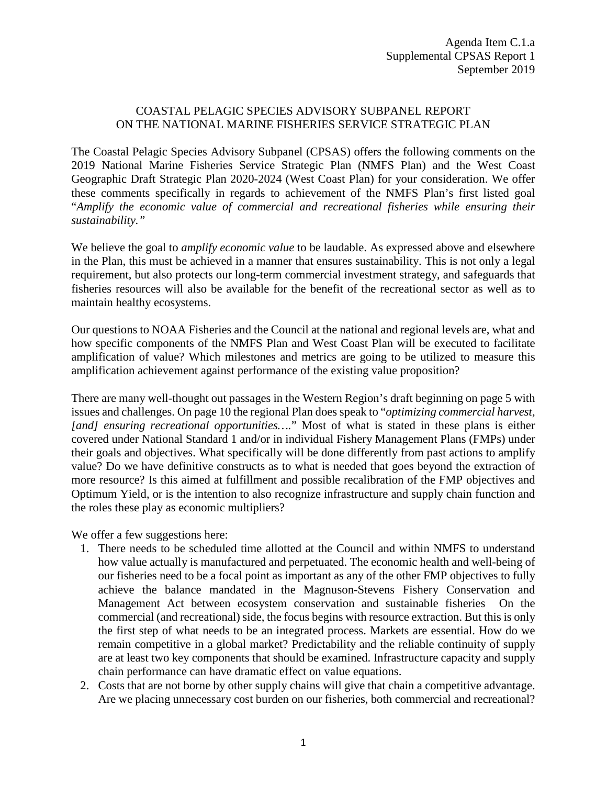## COASTAL PELAGIC SPECIES ADVISORY SUBPANEL REPORT ON THE NATIONAL MARINE FISHERIES SERVICE STRATEGIC PLAN

The Coastal Pelagic Species Advisory Subpanel (CPSAS) offers the following comments on the 2019 National Marine Fisheries Service Strategic Plan (NMFS Plan) and the West Coast Geographic Draft Strategic Plan 2020-2024 (West Coast Plan) for your consideration. We offer these comments specifically in regards to achievement of the NMFS Plan's first listed goal "*Amplify the economic value of commercial and recreational fisheries while ensuring their sustainability."*

We believe the goal to *amplify economic value* to be laudable. As expressed above and elsewhere in the Plan, this must be achieved in a manner that ensures sustainability. This is not only a legal requirement, but also protects our long-term commercial investment strategy, and safeguards that fisheries resources will also be available for the benefit of the recreational sector as well as to maintain healthy ecosystems.

Our questions to NOAA Fisheries and the Council at the national and regional levels are, what and how specific components of the NMFS Plan and West Coast Plan will be executed to facilitate amplification of value? Which milestones and metrics are going to be utilized to measure this amplification achievement against performance of the existing value proposition?

There are many well-thought out passages in the Western Region's draft beginning on page 5 with issues and challenges. On page 10 the regional Plan does speak to "*optimizing commercial harvest, [and] ensuring recreational opportunities….*" Most of what is stated in these plans is either covered under National Standard 1 and/or in individual Fishery Management Plans (FMPs) under their goals and objectives. What specifically will be done differently from past actions to amplify value? Do we have definitive constructs as to what is needed that goes beyond the extraction of more resource? Is this aimed at fulfillment and possible recalibration of the FMP objectives and Optimum Yield, or is the intention to also recognize infrastructure and supply chain function and the roles these play as economic multipliers?

We offer a few suggestions here:

- 1. There needs to be scheduled time allotted at the Council and within NMFS to understand how value actually is manufactured and perpetuated. The economic health and well-being of our fisheries need to be a focal point as important as any of the other FMP objectives to fully achieve the balance mandated in the Magnuson-Stevens Fishery Conservation and Management Act between ecosystem conservation and sustainable fisheries On the commercial (and recreational) side, the focus begins with resource extraction. But this is only the first step of what needs to be an integrated process. Markets are essential. How do we remain competitive in a global market? Predictability and the reliable continuity of supply are at least two key components that should be examined. Infrastructure capacity and supply chain performance can have dramatic effect on value equations.
- 2. Costs that are not borne by other supply chains will give that chain a competitive advantage. Are we placing unnecessary cost burden on our fisheries, both commercial and recreational?